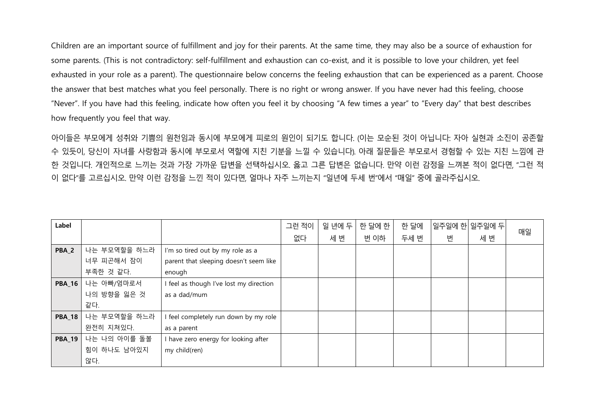Children are an important source of fulfillment and joy for their parents. At the same time, they may also be a source of exhaustion for some parents. (This is not contradictory: self-fulfillment and exhaustion can co-exist, and it is possible to love your children, yet feel exhausted in your role as a parent). The questionnaire below concerns the feeling exhaustion that can be experienced as a parent. Choose the answer that best matches what you feel personally. There is no right or wrong answer. If you have never had this feeling, choose "Never". If you have had this feeling, indicate how often you feel it by choosing "A few times a year" to "Every day" that best describes how frequently you feel that way.

아이들은 부모에게 성취와 기쁨의 원천임과 동시에 부모에게 피로의 원인이 되기도 합니다. (이는 모순된 것이 아닙니다: 자아 실현과 소진이 공존할 수 있듯이, 당신이 자녀를 사랑함과 동시에 부모로서 역할에 지친 기분을 느낄 수 있습니다). 아래 질문들은 부모로서 경험할 수 있는 지친 느낌에 관 한 것입니다. 개인적으로 느끼는 것과 가장 가까운 답변을 선택하십시오. 옳고 그른 답변은 없습니다. 만약 이런 감정을 느껴본 적이 없다면, "그런 적 이 없다"를 고르십시오. 만약 이런 감정을 느낀 적이 있다면, 얼마나 자주 느끼는지 "일년에 두세 번"에서 "매일" 중에 골라주십시오.

| Label            |              |                                         | 그런 적이 | 일 년에 두 | 한 달에 한 | 한 달에 |   | 일주일에 한 일주일에 두 |    |
|------------------|--------------|-----------------------------------------|-------|--------|--------|------|---|---------------|----|
|                  |              |                                         | 없다    | 세 번    | 번 이하   | 두세 번 | 번 | 세 번           | 매일 |
| PBA <sub>2</sub> | 나는 부모역할을 하느라 | I'm so tired out by my role as a        |       |        |        |      |   |               |    |
|                  | 너무 피곤해서 잠이   | parent that sleeping doesn't seem like  |       |        |        |      |   |               |    |
|                  | 부족한 것 같다.    | enough                                  |       |        |        |      |   |               |    |
| <b>PBA 16</b>    | 나는 아빠/엄마로서   | I feel as though I've lost my direction |       |        |        |      |   |               |    |
|                  | 나의 방향을 잃은 것  | as a dad/mum                            |       |        |        |      |   |               |    |
|                  | 같다.          |                                         |       |        |        |      |   |               |    |
| <b>PBA_18</b>    | 나는 부모역할을 하느라 | I feel completely run down by my role   |       |        |        |      |   |               |    |
|                  | 완전히 지쳐있다.    | as a parent                             |       |        |        |      |   |               |    |
| <b>PBA_19</b>    | 나는 나의 아이를 돌볼 | I have zero energy for looking after    |       |        |        |      |   |               |    |
|                  | 힘이 하나도 남아있지  | my child(ren)                           |       |        |        |      |   |               |    |
|                  | 않다.          |                                         |       |        |        |      |   |               |    |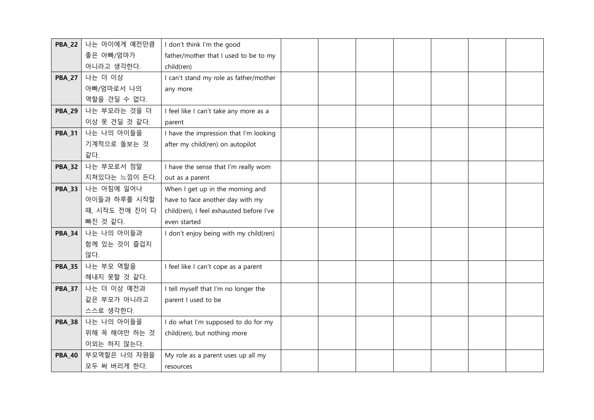| <b>PBA_22</b> | 나는 아이에게 예전만큼   | I don't think I'm the good               |  |  |  |  |
|---------------|----------------|------------------------------------------|--|--|--|--|
|               | 좋은 아빠/엄마가      | father/mother that I used to be to my    |  |  |  |  |
|               | 아니라고 생각한다.     | child(ren)                               |  |  |  |  |
| <b>PBA_27</b> | 나는 더 이상        | I can't stand my role as father/mother   |  |  |  |  |
|               | 아빠/엄마로서 나의     | any more                                 |  |  |  |  |
|               | 역할을 견딜 수 없다.   |                                          |  |  |  |  |
| <b>PBA_29</b> | 나는 부모라는 것을 더   | I feel like I can't take any more as a   |  |  |  |  |
|               | 이상 못 견딜 것 같다.  | parent                                   |  |  |  |  |
| <b>PBA 31</b> | 나는 나의 아이들을     | I have the impression that I'm looking   |  |  |  |  |
|               | 기계적으로 돌보는 것    | after my child(ren) on autopilot         |  |  |  |  |
|               | 같다.            |                                          |  |  |  |  |
| <b>PBA_32</b> | 나는 부모로서 정말     | I have the sense that I'm really worn    |  |  |  |  |
|               | 지쳐있다는 느낌이 든다.  | out as a parent                          |  |  |  |  |
| <b>PBA 33</b> | 나는 아침에 일어나     | When I get up in the morning and         |  |  |  |  |
|               | 아이들과 하루를 시작할   | have to face another day with my         |  |  |  |  |
|               | 때, 시작도 전에 진이 다 | child(ren), I feel exhausted before I've |  |  |  |  |
|               | 빠진 것 같다.       | even started                             |  |  |  |  |
| <b>PBA 34</b> | 나는 나의 아이들과     | I don't enjoy being with my child(ren)   |  |  |  |  |
|               | 함께 있는 것이 즐겁지   |                                          |  |  |  |  |
|               | 않다.            |                                          |  |  |  |  |
| <b>PBA_35</b> | 나는 부모 역할을      | I feel like I can't cope as a parent     |  |  |  |  |
|               | 해내지 못할 것 같다.   |                                          |  |  |  |  |
| <b>PBA 37</b> | 나는 더 이상 예전과    | I tell myself that I'm no longer the     |  |  |  |  |
|               | 같은 부모가 아니라고    | parent I used to be                      |  |  |  |  |
|               | 스스로 생각한다.      |                                          |  |  |  |  |
| <b>PBA_38</b> | 나는 나의 아이들을     | I do what I'm supposed to do for my      |  |  |  |  |
|               | 위해 꼭 해야만 하는 것  | child(ren), but nothing more             |  |  |  |  |
|               | 이외는 하지 않는다.    |                                          |  |  |  |  |
| <b>PBA_40</b> | 부모역할은 나의 자원을   | My role as a parent uses up all my       |  |  |  |  |
|               | 모두 써 버리게 한다.   | resources                                |  |  |  |  |